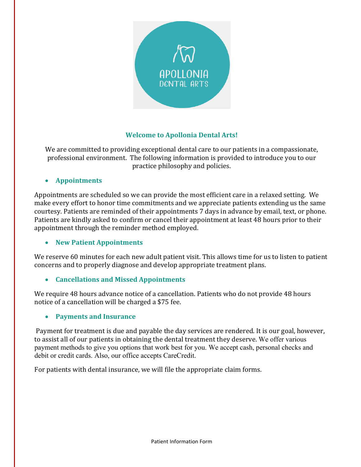

## **Welcome to Apollonia Dental Arts!**

We are committed to providing exceptional dental care to our patients in a compassionate, professional environment. The following information is provided to introduce you to our practice philosophy and policies.

### • **Appointments**

Appointments are scheduled so we can provide the most efficient care in a relaxed setting. We make every effort to honor time commitments and we appreciate patients extending us the same courtesy. Patients are reminded of their appointments 7 days in advance by email, text, or phone. Patients are kindly asked to confirm or cancel their appointment at least 48 hours prior to their appointment through the reminder method employed.

### • **New Patient Appointments**

We reserve 60 minutes for each new adult patient visit. This allows time for us to listen to patient concerns and to properly diagnose and develop appropriate treatment plans.

### • **Cancellations and Missed Appointments**

We require 48 hours advance notice of a cancellation. Patients who do not provide 48 hours notice of a cancellation will be charged a \$75 fee.

### • **Payments and Insurance**

 Payment for treatment is due and payable the day services are rendered. It is our goal, however, to assist all of our patients in obtaining the dental treatment they deserve. We offer various payment methods to give you options that work best for you. We accept cash, personal checks and debit or credit cards. Also, our office accepts CareCredit.

For patients with dental insurance, we will file the appropriate claim forms.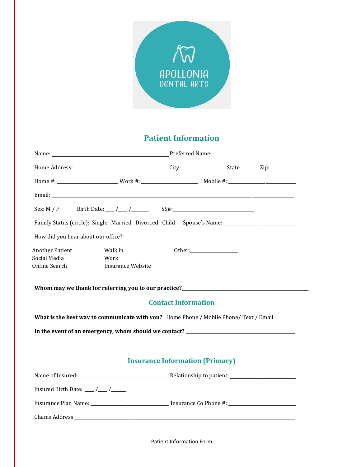

# **Patient Information**

|                                                         | Family Status (circle): Single Married Divorced Child Spouse's Name: ______________________________ |                                        |  |  |
|---------------------------------------------------------|-----------------------------------------------------------------------------------------------------|----------------------------------------|--|--|
| How did you hear about our office?                      |                                                                                                     |                                        |  |  |
| <b>Another Patient</b><br>Social Media<br>Online Search | Walk in<br>Work<br><b>Insurance Website</b>                                                         |                                        |  |  |
|                                                         |                                                                                                     | <b>Contact Information</b>             |  |  |
|                                                         | What is the best way to communicate with you? Home Phone / Mobile Phone/ Text / Email               |                                        |  |  |
|                                                         |                                                                                                     |                                        |  |  |
|                                                         |                                                                                                     |                                        |  |  |
|                                                         |                                                                                                     | <b>Insurance Information (Primary)</b> |  |  |
|                                                         |                                                                                                     |                                        |  |  |
| Insured Birth Date: $\frac{1}{\sqrt{1-\frac{1}{2}}}$    |                                                                                                     |                                        |  |  |
|                                                         |                                                                                                     |                                        |  |  |
|                                                         |                                                                                                     |                                        |  |  |

Patient Information Form